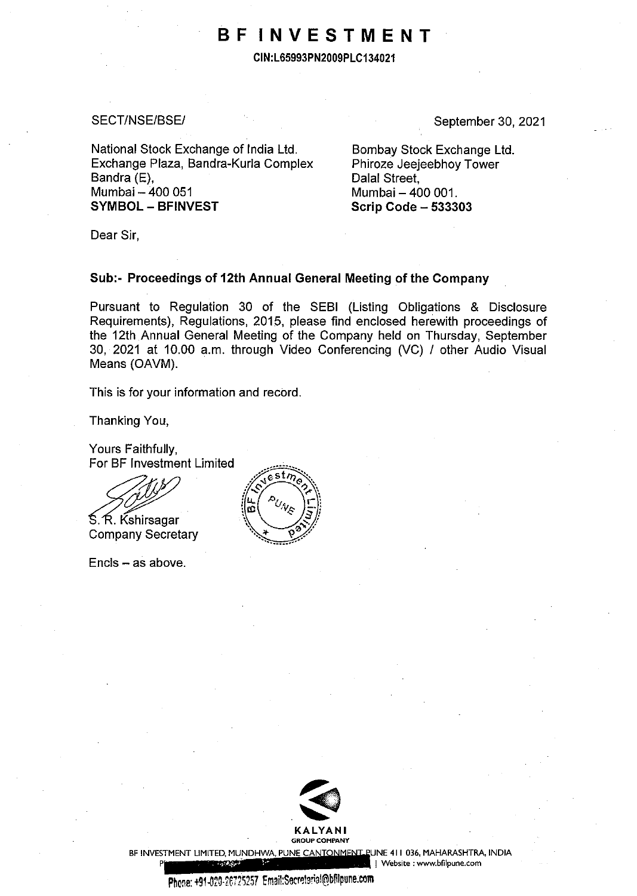## **BF INVESTMENT**

**CIN:L65993PN2009PLC134021** 

#### SECT/NSE/BSE/

September 30, 2021

National Stock Exchange of India Ltd. Exchange Plaza, Bandra-Kurla Complex Bandra (E), Mumbai - 400 051 **SYMBOL - BFINVEST** 

Bombay Stock Exchange Ltd. Phiroze Jeejeebhoy Tower Dalal Street. Mumbai - 400 001. **Scrip Code - 533303** 

Dear Sir,

### **Sub:- Proceedings of 12th Annual General Meeting of the Company**

Pursuant to Regulation 30 of the SEBI (Listing Obligations & Disclosure Requirements), Regulations, 2015, please find enclosed herewith proceedings of the 12th Annual General Meeting of the Company held on Thursday, September 30, 2021 at 10.00 a.m. through Video Conferencing (VC) / other Audio Visual Means (OAVM).

This is for your information and record.

Thanking You,

Yours Faithfully, For BF Investment Limited

For BF Investment Li<br>
S. R. Kshirsagar<br>
Company Secretary

 $Encis - as above.$ 





BF INVESTMENT LIMITED, MUNDHWA, PUNE CANTONMENT PUNE 411 036, MAHARASHTRA, INDIA

**P I Website : www.bfilpune.com**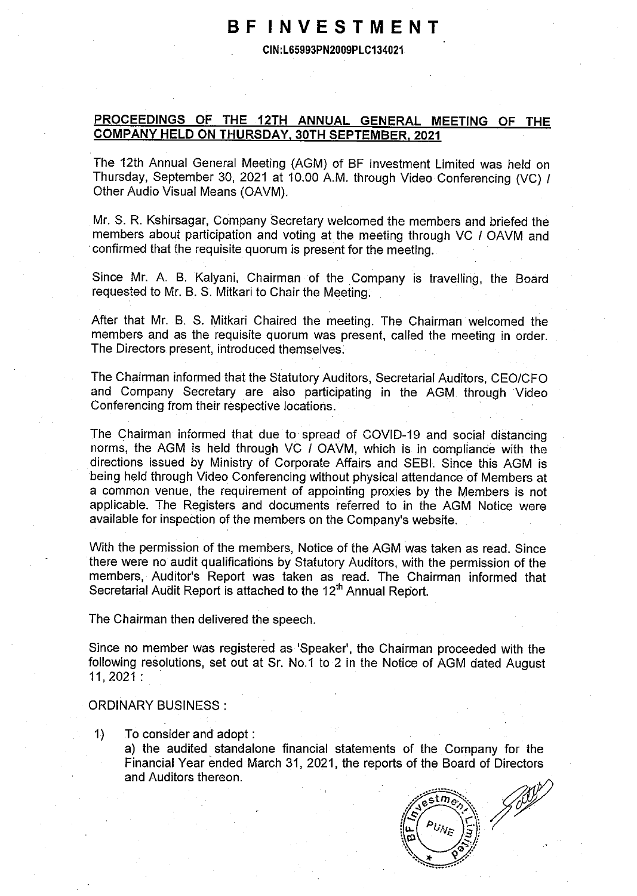### **BF INVESTMENT**

**CIN:L65993PN2009PLC134021** 

### **PROCEEDINGS OF THE 12TH ANNUAL GENERAL MEETING OF THE COMPANY HELD ON THURSDAY. 30TH SEPTEMBER. 2021**

The 12th Annual General Meeting (AGM) of BF Investment Limited was held on Thursday, September 30, 2021 at 10.00 A.M. through Video Conferencing (VC) / Other Audio Visual Means (OAVM).

Mr. S. R. Kshirsagar, Company Secretary welcomed the members and briefed the members about participation and voting at the meeting through VC I OAVM and confirmed that the requisite quorum is present for the meeting.

Since Mr. A. B. Kalyani, Chairman of the Company is travelling, the Board requested to Mr. B. S. Mitkari to Chair the Meeting.

After that Mr. B. S. Mitkari Chaired the meeting. The Chairman welcomed the members and as the requisite quorum was present, called the meeting in order. The Directors present, introduced themselves.

The Chairman informed that the Statutory Auditors, Secretarial Auditors, CEO/CFO and Company Secretary are also participating in the AGM through Video Conferencing from their respective locations.

The Chairman informed that due to spread of COVID-19 and social distancing norms, the AGM is held through VC I OAVM, which is in compliance with the directions issued by Ministry of Corporate Affairs and SEBI. Since this AGM is being held through Video Conferencing without physical attendance of Members at a common venue, the requirement of appointing proxies by the Members is not applicable. The Registers and documents referred to in the AGM Notice were available for inspection of the members on the Company's website.

With the permission of the members, Notice of the AGM was taken as read. Since there were no audit qualifications by Statutory Auditors, with the permission of the members, Auditor's Report was taken as read. The Chairman informed that Secretarial Audit Report is attached to the 12<sup>th</sup> Annual Report.

The Chairman then delivered the speech.

Since no member was registered as 'Speaker', the Chairman proceeded with the following resolutions, set out at Sr. No.1 to 2 in the Notice of AGM dated August 11, 2021: .

#### ORDINARY BUSINESS :

1) To consider and adopt :

a) the audited standalone financial statements of the Company for the Financial Year ended March 31, 2021, the reports of the Board of Directors and Auditors thereon.